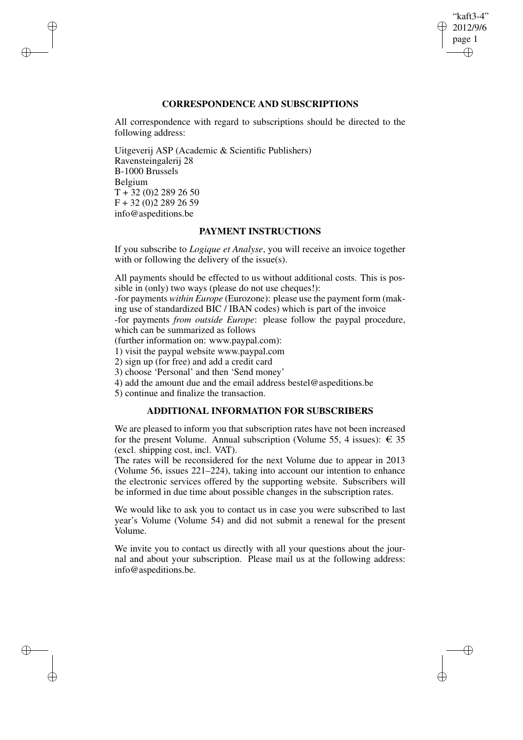## "kaft3-4" 2012/9/6 page 1 ✐ ✐

✐

✐

## **CORRESPONDENCE AND SUBSCRIPTIONS**

All correspondence with regard to subscriptions should be directed to the following address:

Uitgeverij ASP (Academic & Scientific Publishers) Ravensteingalerij 28 B-1000 Brussels Belgium  $T + 32 (0)2 289 26 50$ F + 32 (0)2 289 26 59 info@aspeditions.be

✐

✐

✐

✐

## **PAYMENT INSTRUCTIONS**

If you subscribe to *Logique et Analyse*, you will receive an invoice together with or following the delivery of the issue(s).

All payments should be effected to us without additional costs. This is possible in (only) two ways (please do not use cheques!):

-for payments *within Europe* (Eurozone): please use the payment form (making use of standardized BIC / IBAN codes) which is part of the invoice

-for payments *from outside Europe*: please follow the paypal procedure, which can be summarized as follows

(further information on: www.paypal.com):

1) visit the paypal website www.paypal.com

2) sign up (for free) and add a credit card

3) choose 'Personal' and then 'Send money'

4) add the amount due and the email address bestel@aspeditions.be

5) continue and finalize the transaction.

# **ADDITIONAL INFORMATION FOR SUBSCRIBERS**

We are pleased to inform you that subscription rates have not been increased for the present Volume. Annual subscription (Volume 55, 4 issues):  $\epsilon$  35 (excl. shipping cost, incl. VAT).

The rates will be reconsidered for the next Volume due to appear in 2013 (Volume 56, issues 221–224), taking into account our intention to enhance the electronic services offered by the supporting website. Subscribers will be informed in due time about possible changes in the subscription rates.

We would like to ask you to contact us in case you were subscribed to last year's Volume (Volume 54) and did not submit a renewal for the present Volume.

We invite you to contact us directly with all your questions about the journal and about your subscription. Please mail us at the following address: info@aspeditions.be.